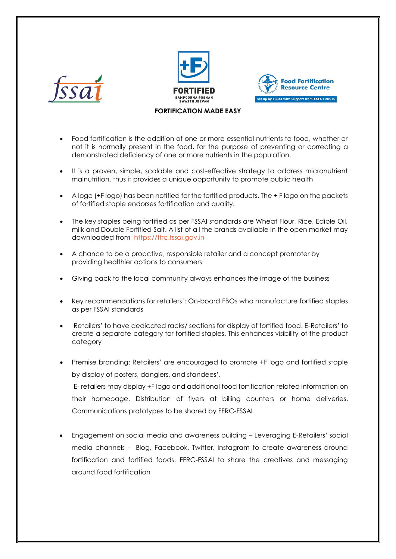





## **FORTIFICATION MADE EASY**

- Food fortification is the addition of one or more essential nutrients to food, whether or not it is normally present in the food, for the purpose of preventing or correcting a demonstrated deficiency of one or more nutrients in the population.
- It is a proven, simple, scalable and cost-effective strategy to address micronutrient malnutrition, thus it provides a unique opportunity to promote public health
- A logo (+F logo) has been notified for the fortified products. The + F logo on the packets of fortified staple endorses fortification and quality.
- The key staples being fortified as per FSSAI standards are Wheat Flour, Rice, Edible Oil, milk and Double Fortified Salt. A list of all the brands available in the open market may downloaded from [https://ffrc.fssai.gov.in](https://ffrc.fssai.gov.in/)
- A chance to be a proactive, responsible retailer and a concept promoter by providing healthier options to consumers
- Giving back to the local community always enhances the image of the business
- Key recommendations for retailers': On-board FBOs who manufacture fortified staples as per FSSAI standards
- Retailers' to have dedicated racks/ sections for display of fortified food. E-Retailers' to create a separate category for fortified staples. This enhances visibility of the product category
- Premise branding: Retailers' are encouraged to promote +F logo and fortified staple by display of posters, danglers, and standees'.

E- retailers may display +F logo and additional food fortification related information on their homepage. Distribution of flyers at billing counters or home deliveries. Communications prototypes to be shared by FFRC-FSSAI

 Engagement on social media and awareness building – Leveraging E-Retailers' social media channels - Blog, Facebook, Twitter, Instagram to create awareness around fortification and fortified foods. FFRC-FSSAI to share the creatives and messaging around food fortification